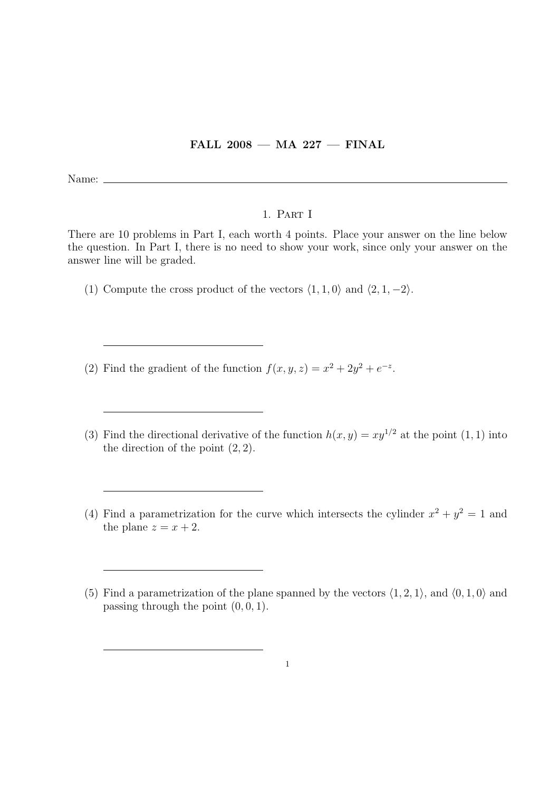## FALL  $2008$  – MA  $227$  – FINAL

Name:  $\_\_$ 

## 1. Part I

There are 10 problems in Part I, each worth 4 points. Place your answer on the line below the question. In Part I, there is no need to show your work, since only your answer on the answer line will be graded.

- (1) Compute the cross product of the vectors  $\langle 1, 1, 0 \rangle$  and  $\langle 2, 1, -2 \rangle$ .
- (2) Find the gradient of the function  $f(x, y, z) = x^2 + 2y^2 + e^{-z}$ .
- (3) Find the directional derivative of the function  $h(x, y) = xy^{1/2}$  at the point (1, 1) into the direction of the point  $(2, 2)$ .
- (4) Find a parametrization for the curve which intersects the cylinder  $x^2 + y^2 = 1$  and the plane  $z = x + 2$ .

<sup>(5)</sup> Find a parametrization of the plane spanned by the vectors  $\langle 1, 2, 1 \rangle$ , and  $\langle 0, 1, 0 \rangle$  and passing through the point  $(0, 0, 1)$ .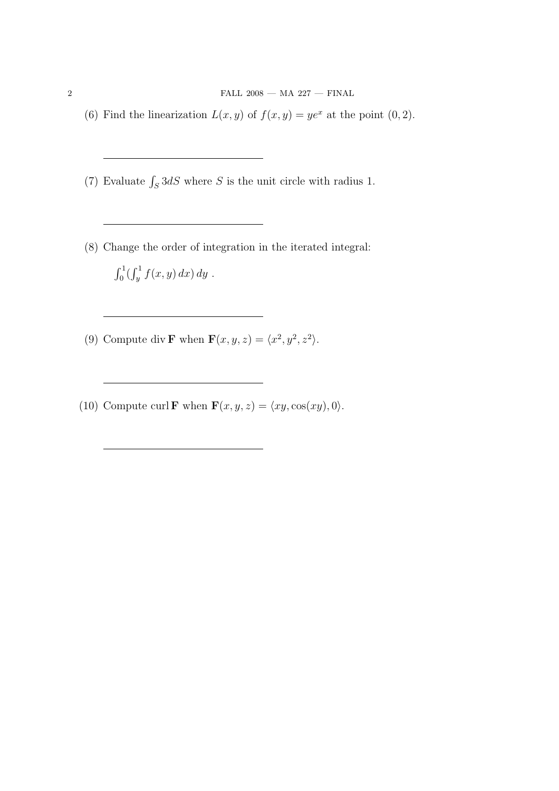$\begin{array}{l} \text{ 2 } \\ \text{ 3 } \\ \text{ 4 } \\ \text{ 5 } \\ \text{ 6 } \\ \text{ 7 } \\ \text{ 8 } \\ \text{ 8 } \\ \text{ 9 } \\ \text{ 1 } \\ \text{ 1 } \\ \text{ 1 } \\ \text{ 1 } \\ \text{ 2 } \\ \text{ 1 } \\ \text{ 1 } \\ \text{ 2 } \\ \text{ 1 } \\ \text{ 2 } \\ \text{ 1 } \\ \text{ 2 } \\ \text{ 2 } \\ \text{ 2 } \\ \text{ 2 } \\ \text{ 3 } \\ \text{ 4 } \\ \text{ 5 } \\ \text{ 6 } \\ \text{ 7 } \\ \text{ 8 } \\ \text{$ 

- (6) Find the linearization  $L(x, y)$  of  $f(x, y) = ye^x$  at the point  $(0, 2)$ .
- (7) Evaluate  $\int_S 3dS$  where S is the unit circle with radius 1.
- (8) Change the order of integration in the iterated integral:  $r<sup>1</sup>$  $\int_0^1 (\int_y^1$  $\int_{y}^{1} f(x, y) dx dy$ .
- (9) Compute div **F** when  $\mathbf{F}(x, y, z) = \langle x^2, y^2, z^2 \rangle$ .
- (10) Compute curl **F** when  $\mathbf{F}(x, y, z) = \langle xy, \cos(xy), 0 \rangle$ .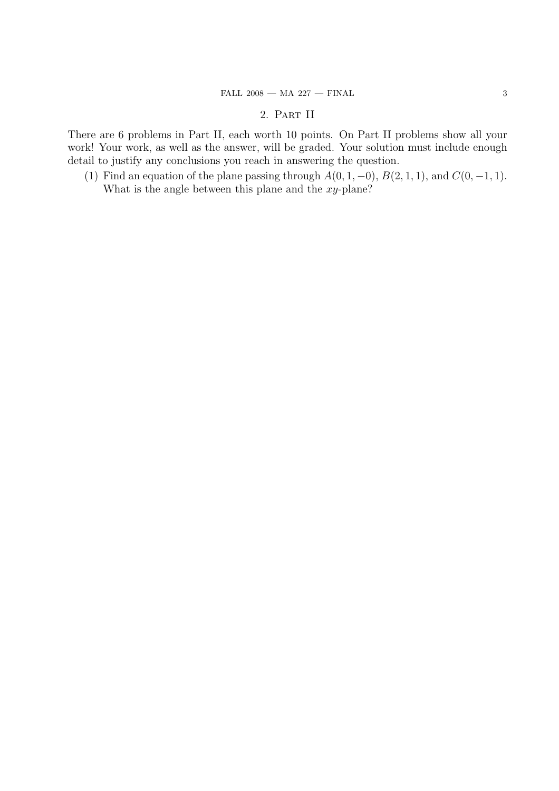## 2. Part II

There are 6 problems in Part II, each worth 10 points. On Part II problems show all your work! Your work, as well as the answer, will be graded. Your solution must include enough detail to justify any conclusions you reach in answering the question.

(1) Find an equation of the plane passing through  $A(0, 1, -0)$ ,  $B(2, 1, 1)$ , and  $C(0, -1, 1)$ . What is the angle between this plane and the  $xy$ -plane?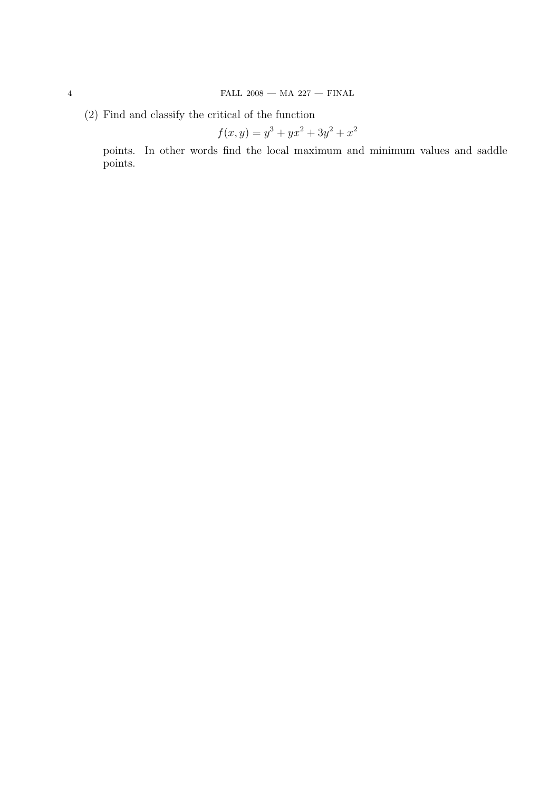(2) Find and classify the critical of the function

$$
f(x,y) = y^3 + yx^2 + 3y^2 + x^2
$$

points. In other words find the local maximum and minimum values and saddle points.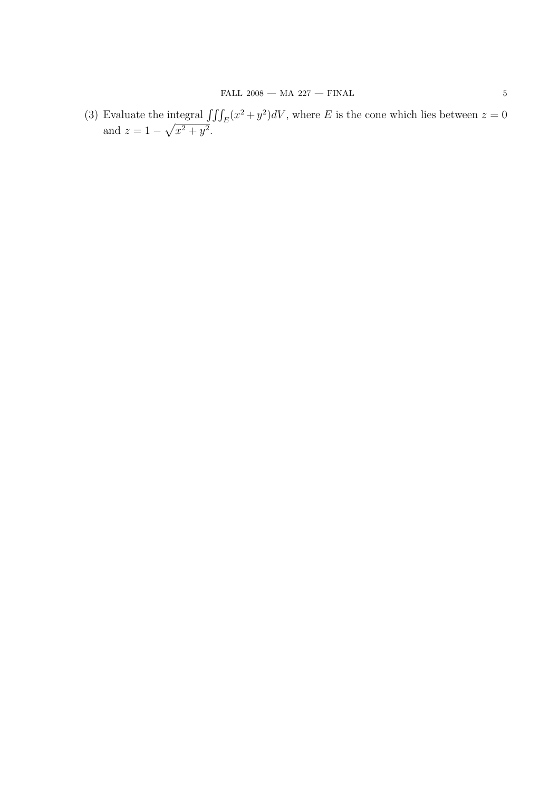(3) Evaluate the integral  $\iiint_E (x^2 + y^2) dV$ , where E is the cone which lies between  $z = 0$ and  $z = 1 \overline{\mathbf{u}}$  $x^2 + y^2$ .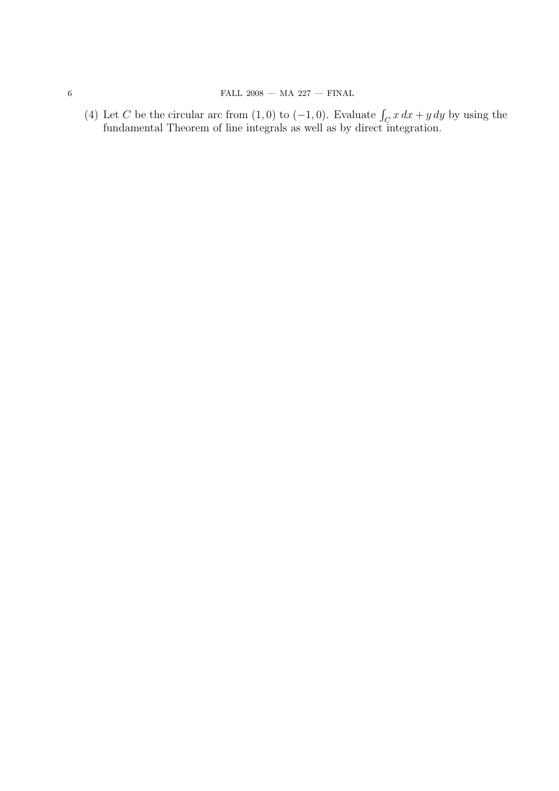(4) Let C be the circular arc from  $(1,0)$  to  $(-1,0)$ . Evaluate  $\int_C x dx + y dy$  by using the fundamental Theorem of line integrals as well as by direct integration.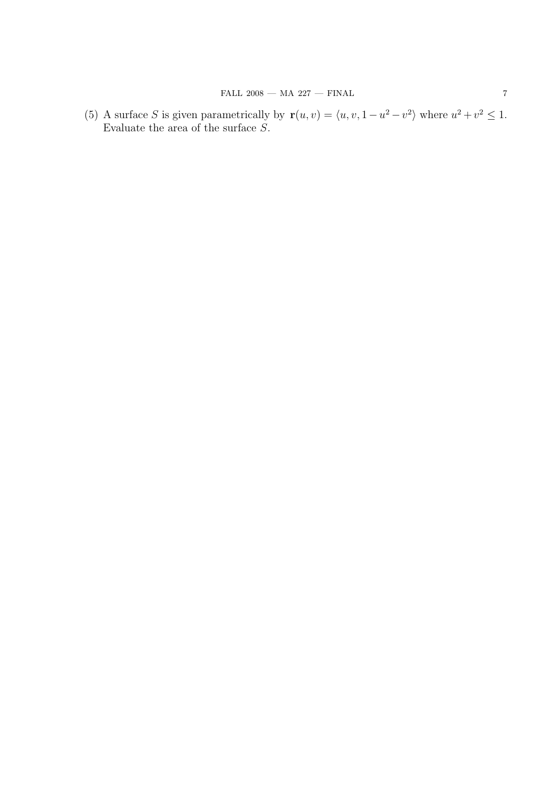(5) A surface S is given parametrically by  $\mathbf{r}(u, v) = \langle u, v, 1 - u^2 - v^2 \rangle$  where  $u^2 + v^2 \leq 1$ . Evaluate the area of the surface S.